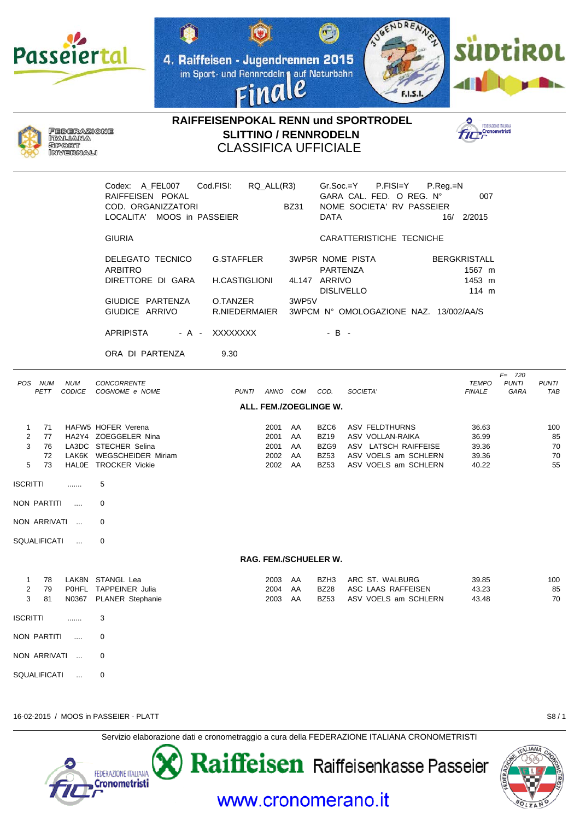

JOENDRENNA  $\bigcirc$ 4. Raiffeisen - Jugendrennen 2015 im Sport- und Rennrodeln auf Naturbahn le na **F.I.S.I** 





RAIFFEISENPOKAL RENN und SPORTRODEL **SLITTINO / RENNRODELN CLASSIFICA UFFICIALE** 



|                                                           | Codex: A_FEL007<br>RAIFFEISEN POKAL<br>COD. ORGANIZZATORI<br>LOCALITA' MOOS in PASSEIER                                | Cod.FISI:                                                       | RQ_ALL(R3)                           | <b>BZ31</b>                | Gr.Soc.=Y<br><b>DATA</b>                                  | P.FISI=Y<br>$P_{\cdot}$ Reg $_{\cdot}$ =N<br>GARA CAL. FED. O REG. N°<br>NOME SOCIETA' RV PASSEIER         | 007<br>16/ 2/2015                                |                                   |                                         |  |
|-----------------------------------------------------------|------------------------------------------------------------------------------------------------------------------------|-----------------------------------------------------------------|--------------------------------------|----------------------------|-----------------------------------------------------------|------------------------------------------------------------------------------------------------------------|--------------------------------------------------|-----------------------------------|-----------------------------------------|--|
|                                                           | <b>GIURIA</b>                                                                                                          |                                                                 |                                      |                            |                                                           | CARATTERISTICHE TECNICHE                                                                                   |                                                  |                                   |                                         |  |
|                                                           | DELEGATO TECNICO<br><b>ARBITRO</b><br>DIRETTORE DI GARA<br>GIUDICE PARTENZA<br>GIUDICE ARRIVO                          | G.STAFFLER<br><b>H.CASTIGLIONI</b><br>O.TANZER<br>R.NIEDERMAIER |                                      | 4L147 ARRIVO<br>3WP5V      | PARTENZA<br><b>DISLIVELLO</b>                             | <b>3WP5R NOME PISTA</b><br>3WPCM Nº OMOLOGAZIONE NAZ. 13/002/AA/S                                          | <b>BERGKRISTALL</b><br>1567 m<br>1453 m<br>114 m |                                   |                                         |  |
|                                                           | <b>APRIPISTA</b><br>- A -                                                                                              | XXXXXXXX                                                        |                                      |                            | $-B -$                                                    |                                                                                                            |                                                  |                                   |                                         |  |
|                                                           | ORA DI PARTENZA                                                                                                        | 9.30                                                            |                                      |                            |                                                           |                                                                                                            |                                                  |                                   |                                         |  |
| POS NUM<br><b>NUM</b><br>CODICE<br>PETT                   | CONCORRENTE<br>COGNOME e NOME                                                                                          | <b>PUNTI</b>                                                    | ANNO COM                             |                            | COD.                                                      | SOCIETA'                                                                                                   | <b>TEMPO</b><br><b>FINALE</b>                    | $F = 720$<br><b>PUNTI</b><br>GARA | <b>PUNTI</b><br>TAE                     |  |
|                                                           |                                                                                                                        |                                                                 |                                      | ALL. FEM./ZOEGLINGE W.     |                                                           |                                                                                                            |                                                  |                                   |                                         |  |
| $\mathbf{1}$<br>71<br>2<br>77<br>3<br>76<br>72<br>5<br>73 | HAFW5 HOFER Verena<br>HA2Y4 ZOEGGELER Nina<br>LA3DC STECHER Selina<br>LAK6K WEGSCHEIDER Miriam<br>HALOE TROCKER Vickie |                                                                 | 2001<br>2001<br>2001<br>2002<br>2002 | AA<br>AA<br>AA<br>AA<br>AA | BZC6<br><b>BZ19</b><br>BZG9<br><b>BZ53</b><br><b>BZ53</b> | ASV FELDTHURNS<br>ASV VOLLAN-RAIKA<br>ASV LATSCH RAIFFEISE<br>ASV VOELS am SCHLERN<br>ASV VOELS am SCHLERN | 36.63<br>36.99<br>39.36<br>39.36<br>40.22        |                                   | 10 <sub>C</sub><br>85<br>70<br>70<br>55 |  |
| <b>ISCRITTI</b><br>.                                      | 5                                                                                                                      |                                                                 |                                      |                            |                                                           |                                                                                                            |                                                  |                                   |                                         |  |
| NON PARTITI<br>$\cdots$                                   | 0                                                                                                                      |                                                                 |                                      |                            |                                                           |                                                                                                            |                                                  |                                   |                                         |  |
| NON ARRIVATI<br>$\sim$                                    | 0                                                                                                                      |                                                                 |                                      |                            |                                                           |                                                                                                            |                                                  |                                   |                                         |  |
| SQUALIFICATI<br>$\ddotsc$                                 | 0                                                                                                                      |                                                                 |                                      |                            |                                                           |                                                                                                            |                                                  |                                   |                                         |  |
| <b>RAG. FEM./SCHUELER W.</b>                              |                                                                                                                        |                                                                 |                                      |                            |                                                           |                                                                                                            |                                                  |                                   |                                         |  |
| $\mathbf{1}$<br>78<br>$\overline{c}$<br>79<br>3<br>81     | LAK8N STANGL Lea<br>POHFL TAPPEINER Julia<br>N0367 PLANER Stephanie                                                    |                                                                 | 2003<br>2004<br>2003                 | AA<br>AA<br>AA             | BZH3<br><b>BZ28</b><br><b>BZ53</b>                        | ARC ST. WALBURG<br>ASC LAAS RAFFEISEN<br>ASV VOELS am SCHLERN                                              | 39.85<br>43.23<br>43.48                          |                                   | 10 <sub>C</sub><br>85<br>70             |  |
| <b>ISCRITTI</b><br>.                                      | 3                                                                                                                      |                                                                 |                                      |                            |                                                           |                                                                                                            |                                                  |                                   |                                         |  |
| NON PARTITI<br>$\ldots$                                   | 0                                                                                                                      |                                                                 |                                      |                            |                                                           |                                                                                                            |                                                  |                                   |                                         |  |
| NON ARRIVATI<br>$\ldots$                                  | 0                                                                                                                      |                                                                 |                                      |                            |                                                           |                                                                                                            |                                                  |                                   |                                         |  |
| SQUALIFICATI<br>$\ddotsc$                                 | 0                                                                                                                      |                                                                 |                                      |                            |                                                           |                                                                                                            |                                                  |                                   |                                         |  |

16-02-2015 / MOOS in PASSEIER - PLATT

 $S8/1$ 

Servizio elaborazione dati e cronometraggio a cura della FEDERAZIONE ITALIANA CRONOMETRISTI



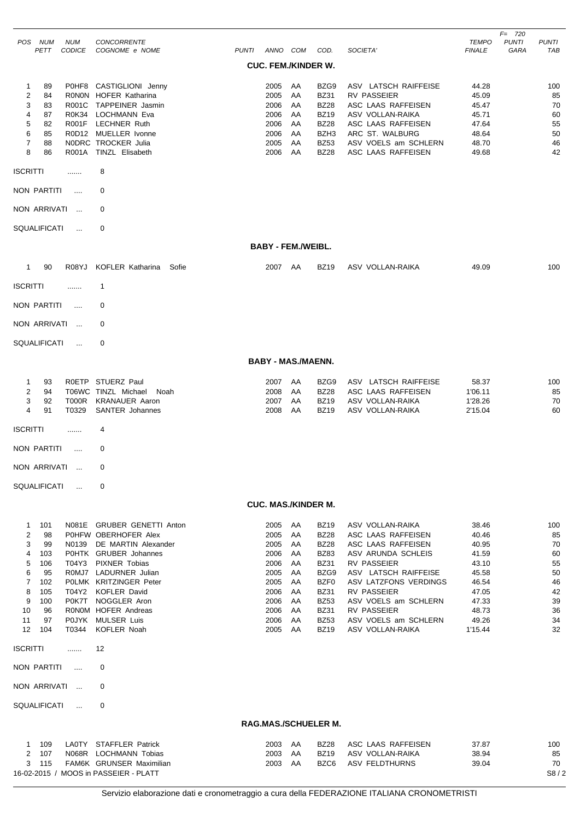|                                                                                                                                                                                       |                             |                                                                                                                                                                                                                                                                                                        |                                                                                              |                                                                      |                                                                                                                                                                    |                                                                                                                                                                                                                                                             |                                                                                                            | $F = 720$            |                                                                       |
|---------------------------------------------------------------------------------------------------------------------------------------------------------------------------------------|-----------------------------|--------------------------------------------------------------------------------------------------------------------------------------------------------------------------------------------------------------------------------------------------------------------------------------------------------|----------------------------------------------------------------------------------------------|----------------------------------------------------------------------|--------------------------------------------------------------------------------------------------------------------------------------------------------------------|-------------------------------------------------------------------------------------------------------------------------------------------------------------------------------------------------------------------------------------------------------------|------------------------------------------------------------------------------------------------------------|----------------------|-----------------------------------------------------------------------|
| POS NUM<br><b>PETT</b>                                                                                                                                                                | <b>NUM</b><br><b>CODICE</b> | CONCORRENTE<br>COGNOME e NOME                                                                                                                                                                                                                                                                          | PUNTI ANNO COM                                                                               |                                                                      | COD.                                                                                                                                                               | SOCIETA'                                                                                                                                                                                                                                                    | <b>TEMPO</b><br><b>FINALE</b>                                                                              | <b>PUNTI</b><br>GARA | PUNTI<br>TAB                                                          |
|                                                                                                                                                                                       |                             |                                                                                                                                                                                                                                                                                                        | <b>CUC. FEM./KINDER W.</b>                                                                   |                                                                      |                                                                                                                                                                    |                                                                                                                                                                                                                                                             |                                                                                                            |                      |                                                                       |
| 1<br>89<br>$\overline{c}$<br>84<br>3<br>83<br>$\overline{4}$<br>87<br>5<br>82<br>6<br>85<br>$\overline{7}$<br>88<br>8<br>86                                                           | R001A                       | P0HF8 CASTIGLIONI Jenny<br>RONON HOFER Katharina<br>R001C TAPPEINER Jasmin<br>R0K34 LOCHMANN Eva<br>R001F LECHNER Ruth<br>R0D12 MUELLER Ivonne<br>NODRC TROCKER Julia<br><b>TINZL Elisabeth</b>                                                                                                        | 2005<br>2005<br>2006<br>2006<br>2006<br>2006<br>2005<br>2006                                 | AA<br>AA<br>AA<br>AA<br>AA<br>AA<br>AA<br>AA                         | BZG9<br><b>BZ31</b><br><b>BZ28</b><br><b>BZ19</b><br><b>BZ28</b><br>BZH3<br><b>BZ53</b><br><b>BZ28</b>                                                             | ASV LATSCH RAIFFEISE<br><b>RV PASSEIER</b><br>ASC LAAS RAFFEISEN<br>ASV VOLLAN-RAIKA<br>ASC LAAS RAFFEISEN<br>ARC ST. WALBURG<br>ASV VOELS am SCHLERN<br>ASC LAAS RAFFEISEN                                                                                 | 44.28<br>45.09<br>45.47<br>45.71<br>47.64<br>48.64<br>48.70<br>49.68                                       |                      | 100<br>85<br>70<br>60<br>55<br>50<br>46<br>42                         |
| <b>ISCRITTI</b>                                                                                                                                                                       | .                           | 8                                                                                                                                                                                                                                                                                                      |                                                                                              |                                                                      |                                                                                                                                                                    |                                                                                                                                                                                                                                                             |                                                                                                            |                      |                                                                       |
| NON PARTITI                                                                                                                                                                           | $\cdots$                    | 0                                                                                                                                                                                                                                                                                                      |                                                                                              |                                                                      |                                                                                                                                                                    |                                                                                                                                                                                                                                                             |                                                                                                            |                      |                                                                       |
| NON ARRIVATI                                                                                                                                                                          | $\sim$                      | 0                                                                                                                                                                                                                                                                                                      |                                                                                              |                                                                      |                                                                                                                                                                    |                                                                                                                                                                                                                                                             |                                                                                                            |                      |                                                                       |
|                                                                                                                                                                                       |                             |                                                                                                                                                                                                                                                                                                        |                                                                                              |                                                                      |                                                                                                                                                                    |                                                                                                                                                                                                                                                             |                                                                                                            |                      |                                                                       |
| <b>SQUALIFICATI</b>                                                                                                                                                                   | $\ddotsc$                   | 0                                                                                                                                                                                                                                                                                                      |                                                                                              |                                                                      |                                                                                                                                                                    |                                                                                                                                                                                                                                                             |                                                                                                            |                      |                                                                       |
|                                                                                                                                                                                       |                             |                                                                                                                                                                                                                                                                                                        |                                                                                              | <b>BABY - FEM./WEIBL.</b>                                            |                                                                                                                                                                    |                                                                                                                                                                                                                                                             |                                                                                                            |                      |                                                                       |
| $\mathbf{1}$<br>90                                                                                                                                                                    | R08YJ                       | KOFLER Katharina<br>Sofie                                                                                                                                                                                                                                                                              | 2007                                                                                         | AA                                                                   | <b>BZ19</b>                                                                                                                                                        | ASV VOLLAN-RAIKA                                                                                                                                                                                                                                            | 49.09                                                                                                      |                      | 100                                                                   |
| <b>ISCRITTI</b>                                                                                                                                                                       | .                           | $\mathbf 1$                                                                                                                                                                                                                                                                                            |                                                                                              |                                                                      |                                                                                                                                                                    |                                                                                                                                                                                                                                                             |                                                                                                            |                      |                                                                       |
| NON PARTITI                                                                                                                                                                           | $\cdots$                    | 0                                                                                                                                                                                                                                                                                                      |                                                                                              |                                                                      |                                                                                                                                                                    |                                                                                                                                                                                                                                                             |                                                                                                            |                      |                                                                       |
| NON ARRIVATI                                                                                                                                                                          | $\ddotsc$                   | 0                                                                                                                                                                                                                                                                                                      |                                                                                              |                                                                      |                                                                                                                                                                    |                                                                                                                                                                                                                                                             |                                                                                                            |                      |                                                                       |
| SQUALIFICATI                                                                                                                                                                          | $\cdots$                    | 0                                                                                                                                                                                                                                                                                                      |                                                                                              |                                                                      |                                                                                                                                                                    |                                                                                                                                                                                                                                                             |                                                                                                            |                      |                                                                       |
|                                                                                                                                                                                       |                             |                                                                                                                                                                                                                                                                                                        | <b>BABY - MAS./MAENN.</b>                                                                    |                                                                      |                                                                                                                                                                    |                                                                                                                                                                                                                                                             |                                                                                                            |                      |                                                                       |
| 93                                                                                                                                                                                    |                             | ROETP STUERZ Paul                                                                                                                                                                                                                                                                                      | 2007                                                                                         | AA                                                                   | BZG9                                                                                                                                                               | ASV LATSCH RAIFFEISE                                                                                                                                                                                                                                        | 58.37                                                                                                      |                      |                                                                       |
| $\mathbf{1}$<br>$\overline{2}$<br>94<br>3<br>92<br>4<br>91                                                                                                                            | T000R<br>T0329              | T06WC TINZL Michael<br>Noah<br><b>KRANAUER Aaron</b><br>SANTER Johannes                                                                                                                                                                                                                                | 2008<br>2007<br>2008                                                                         | AA<br>AA<br>AA                                                       | <b>BZ28</b><br><b>BZ19</b><br><b>BZ19</b>                                                                                                                          | ASC LAAS RAFFEISEN<br>ASV VOLLAN-RAIKA<br>ASV VOLLAN-RAIKA                                                                                                                                                                                                  | 1'06.11<br>1'28.26<br>2'15.04                                                                              |                      | 100<br>85<br>70<br>60                                                 |
| <b>ISCRITTI</b>                                                                                                                                                                       |                             | 4                                                                                                                                                                                                                                                                                                      |                                                                                              |                                                                      |                                                                                                                                                                    |                                                                                                                                                                                                                                                             |                                                                                                            |                      |                                                                       |
| NON PARTITI                                                                                                                                                                           | $\cdots$                    | 0                                                                                                                                                                                                                                                                                                      |                                                                                              |                                                                      |                                                                                                                                                                    |                                                                                                                                                                                                                                                             |                                                                                                            |                      |                                                                       |
| NON ARRIVATI                                                                                                                                                                          |                             |                                                                                                                                                                                                                                                                                                        |                                                                                              |                                                                      |                                                                                                                                                                    |                                                                                                                                                                                                                                                             |                                                                                                            |                      |                                                                       |
| <b>SQUALIFICATI</b>                                                                                                                                                                   | $\ddotsc$                   | 0                                                                                                                                                                                                                                                                                                      |                                                                                              |                                                                      |                                                                                                                                                                    |                                                                                                                                                                                                                                                             |                                                                                                            |                      |                                                                       |
|                                                                                                                                                                                       |                             |                                                                                                                                                                                                                                                                                                        | <b>CUC. MAS./KINDER M.</b>                                                                   |                                                                      |                                                                                                                                                                    |                                                                                                                                                                                                                                                             |                                                                                                            |                      |                                                                       |
| 101<br>$\mathbf{1}$<br>$\overline{2}$<br>98<br>99<br>3<br>4<br>103<br>5<br>106<br>6<br>95<br>102<br>7<br>105<br>8<br>9<br>100<br>10<br>96<br>11<br>97<br>12<br>104<br><b>ISCRITTI</b> | T0344<br>.                  | N081E GRUBER GENETTI Anton<br>POHFW OBERHOFER Alex<br>N0139 DE MARTIN Alexander<br>POHTK GRUBER Johannes<br>T04Y3 PIXNER Tobias<br>R0MJ7 LADURNER Julian<br>POLMK KRITZINGER Peter<br>T04Y2 KOFLER David<br>P0K7T NOGGLER Aron<br>RONOM HOFER Andreas<br>POJYK MULSER Luis<br><b>KOFLER Noah</b><br>12 | 2005<br>2005<br>2005<br>2006<br>2006<br>2005<br>2005<br>2006<br>2006<br>2006<br>2006<br>2005 | AA<br>AA<br>AA<br>AA<br>AA<br>AA<br>AA<br>AA<br>AA<br>AA<br>AA<br>AA | <b>BZ19</b><br><b>BZ28</b><br><b>BZ28</b><br><b>BZ83</b><br><b>BZ31</b><br>BZG9<br>BZF0<br><b>BZ31</b><br><b>BZ53</b><br><b>BZ31</b><br><b>BZ53</b><br><b>BZ19</b> | ASV VOLLAN-RAIKA<br>ASC LAAS RAFFEISEN<br>ASC LAAS RAFFEISEN<br>ASV ARUNDA SCHLEIS<br>RV PASSEIER<br>ASV LATSCH RAIFFEISE<br>ASV LATZFONS VERDINGS<br><b>RV PASSEIER</b><br>ASV VOELS am SCHLERN<br>RV PASSEIER<br>ASV VOELS am SCHLERN<br>ASV VOLLAN-RAIKA | 38.46<br>40.46<br>40.95<br>41.59<br>43.10<br>45.58<br>46.54<br>47.05<br>47.33<br>48.73<br>49.26<br>1'15.44 |                      | 100<br>85<br>70<br>60<br>55<br>50<br>46<br>42<br>39<br>36<br>34<br>32 |
| NON PARTITI                                                                                                                                                                           | $\sim$                      | 0                                                                                                                                                                                                                                                                                                      |                                                                                              |                                                                      |                                                                                                                                                                    |                                                                                                                                                                                                                                                             |                                                                                                            |                      |                                                                       |
| NON ARRIVATI                                                                                                                                                                          | $\ddotsc$                   | 0                                                                                                                                                                                                                                                                                                      |                                                                                              |                                                                      |                                                                                                                                                                    |                                                                                                                                                                                                                                                             |                                                                                                            |                      |                                                                       |
| SQUALIFICATI                                                                                                                                                                          | $\cdots$                    | 0                                                                                                                                                                                                                                                                                                      |                                                                                              |                                                                      |                                                                                                                                                                    |                                                                                                                                                                                                                                                             |                                                                                                            |                      |                                                                       |
|                                                                                                                                                                                       |                             |                                                                                                                                                                                                                                                                                                        | RAG.MAS./SCHUELER M.                                                                         |                                                                      |                                                                                                                                                                    |                                                                                                                                                                                                                                                             |                                                                                                            |                      |                                                                       |
| 109<br>1<br>2<br>107<br>115<br>3                                                                                                                                                      |                             | LA0TY STAFFLER Patrick<br>N068R LOCHMANN Tobias<br>FAM6K GRUNSER Maximilian<br>16-02-2015 / MOOS in PASSEIER - PLATT                                                                                                                                                                                   | 2003<br>2003<br>2003                                                                         | AA<br>AA<br>AA                                                       | <b>BZ28</b><br><b>BZ19</b><br>BZC6                                                                                                                                 | ASC LAAS RAFFEISEN<br>ASV VOLLAN-RAIKA<br>ASV FELDTHURNS                                                                                                                                                                                                    | 37.87<br>38.94<br>39.04                                                                                    |                      | 100<br>85<br>70<br>S8/2                                               |